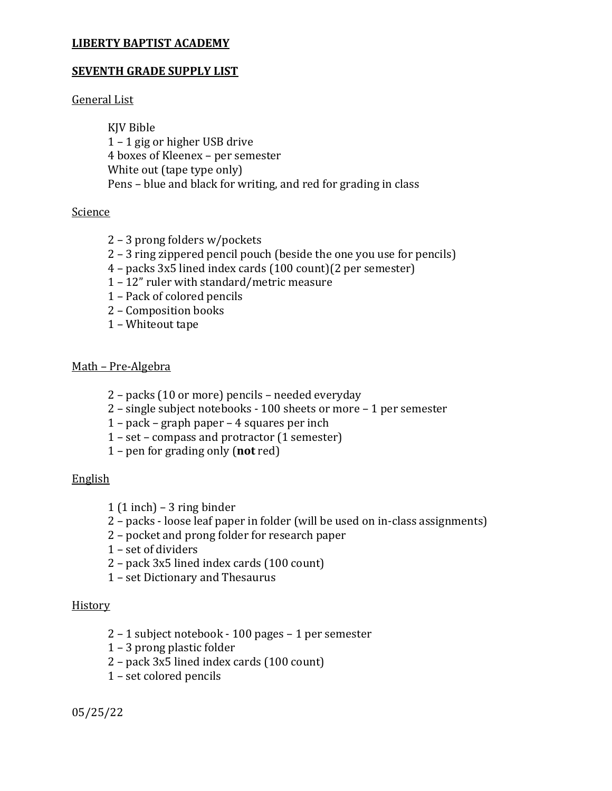# **SEVENTH GRADE SUPPLY LIST**

General List

KJV Bible – 1 gig or higher USB drive 4 boxes of Kleenex – per semester White out (tape type only) Pens – blue and black for writing, and red for grading in class

# Science

- 3 prong folders w/pockets
- 3 ring zippered pencil pouch (beside the one you use for pencils)
- packs 3x5 lined index cards (100 count)(2 per semester)
- 12" ruler with standard/metric measure
- Pack of colored pencils
- Composition books
- Whiteout tape

# Math – Pre-Algebra

- packs (10 or more) pencils needed everyday
- single subject notebooks 100 sheets or more 1 per semester
- pack graph paper 4 squares per inch
- set compass and protractor (1 semester)
- pen for grading only (**not** red)

# English

- $1(1$  inch) 3 ring binder
- packs loose leaf paper in folder (will be used on in-class assignments)
- pocket and prong folder for research paper
- set of dividers
- pack 3x5 lined index cards (100 count)
- set Dictionary and Thesaurus

# **History**

- 1 subject notebook 100 pages 1 per semester
- 3 prong plastic folder
- pack 3x5 lined index cards (100 count)
- set colored pencils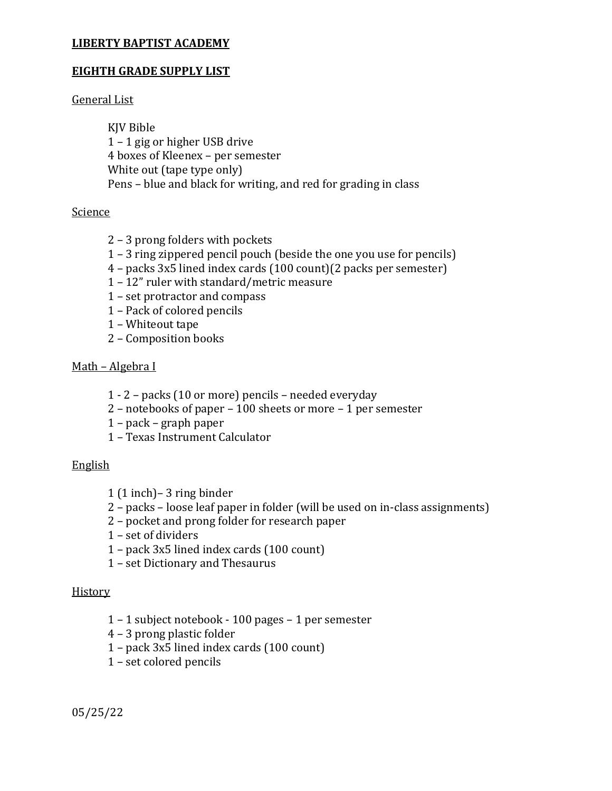## **EIGHTH GRADE SUPPLY LIST**

General List

KJV Bible 1 – 1 gig or higher USB drive 4 boxes of Kleenex – per semester White out (tape type only) Pens – blue and black for writing, and red for grading in class

## Science

- 2 3 prong folders with pockets
- 1 3 ring zippered pencil pouch (beside the one you use for pencils)
- 4 packs 3x5 lined index cards (100 count)(2 packs per semester)
- 1 12" ruler with standard/metric measure
- 1 set protractor and compass
- 1 Pack of colored pencils
- 1 Whiteout tape
- 2 Composition books

## Math – Algebra I

- 1 2 packs (10 or more) pencils needed everyday
- 2 notebooks of paper 100 sheets or more 1 per semester
- 1 pack graph paper
- 1 Texas Instrument Calculator

## English

- 1 (1 inch)– 3 ring binder
- 2 packs loose leaf paper in folder (will be used on in-class assignments)
- 2 pocket and prong folder for research paper
- 1 set of dividers
- 1 pack 3x5 lined index cards (100 count)
- 1 set Dictionary and Thesaurus

## **History**

- 1 1 subject notebook 100 pages 1 per semester
- 4 3 prong plastic folder
- 1 pack 3x5 lined index cards (100 count)
- 1 set colored pencils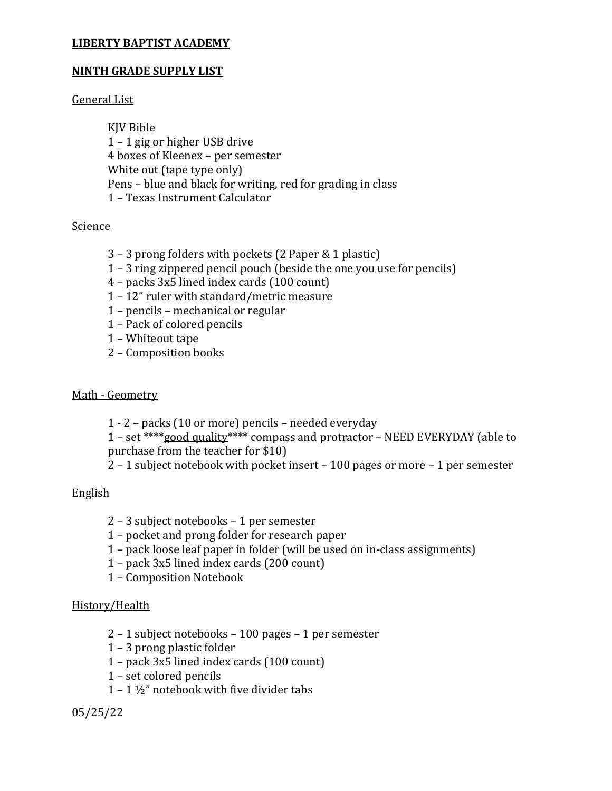# **NINTH GRADE SUPPLY LIST**

### General List

KJV Bible 1 – 1 gig or higher USB drive 4 boxes of Kleenex – per semester White out (tape type only) Pens – blue and black for writing, red for grading in class 1 – Texas Instrument Calculator

#### Science

- 3 3 prong folders with pockets (2 Paper & 1 plastic)
- 1 3 ring zippered pencil pouch (beside the one you use for pencils)
- 4 packs 3x5 lined index cards (100 count)
- 1 12" ruler with standard/metric measure
- 1 pencils mechanical or regular
- 1 Pack of colored pencils
- 1 Whiteout tape
- 2 Composition books

### Math - Geometry

1 - 2 – packs (10 or more) pencils – needed everyday

1 – set \*\*\*\*good quality\*\*\*\* compass and protractor – NEED EVERYDAY (able to purchase from the teacher for \$10)

2 – 1 subject notebook with pocket insert – 100 pages or more – 1 per semester

## English

- 2 3 subject notebooks 1 per semester
- 1 pocket and prong folder for research paper
- 1 pack loose leaf paper in folder (will be used on in-class assignments)
- 1 pack 3x5 lined index cards (200 count)
- 1 Composition Notebook

## History/Health

- 2 1 subject notebooks 100 pages 1 per semester
- 1 3 prong plastic folder
- 1 pack 3x5 lined index cards (100 count)
- 1 set colored pencils
- $1 1 \frac{1}{2}$ " notebook with five divider tabs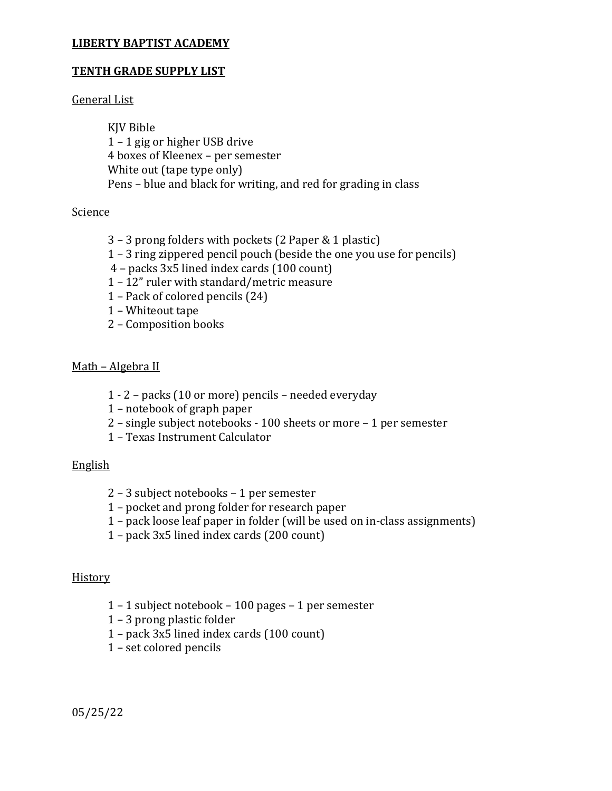## **TENTH GRADE SUPPLY LIST**

## General List

KJV Bible – 1 gig or higher USB drive boxes of Kleenex – per semester White out (tape type only) Pens – blue and black for writing, and red for grading in class

# Science

- 3 prong folders with pockets (2 Paper & 1 plastic)
- 3 ring zippered pencil pouch (beside the one you use for pencils)
- packs 3x5 lined index cards (100 count)
- 12" ruler with standard/metric measure
- Pack of colored pencils (24)
- Whiteout tape
- Composition books

# Math – Algebra II

- 1 2 packs (10 or more) pencils needed everyday
- notebook of graph paper
- single subject notebooks 100 sheets or more 1 per semester
- Texas Instrument Calculator

## English

- 3 subject notebooks 1 per semester
- pocket and prong folder for research paper
- pack loose leaf paper in folder (will be used on in-class assignments)
- pack 3x5 lined index cards (200 count)

## **History**

- 1 subject notebook 100 pages 1 per semester
- 3 prong plastic folder
- pack 3x5 lined index cards (100 count)
- set colored pencils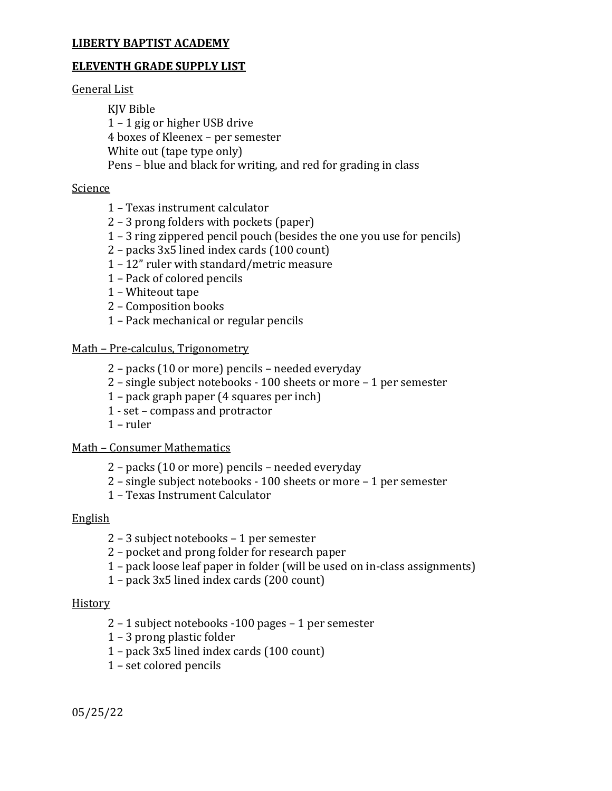#### **ELEVENTH GRADE SUPPLY LIST**

#### General List

KJV Bible – 1 gig or higher USB drive 4 boxes of Kleenex – per semester White out (tape type only) Pens – blue and black for writing, and red for grading in class

#### Science

- Texas instrument calculator
- 3 prong folders with pockets (paper)
- 3 ring zippered pencil pouch (besides the one you use for pencils)
- packs 3x5 lined index cards (100 count)
- 12" ruler with standard/metric measure
- Pack of colored pencils
- Whiteout tape
- Composition books
- Pack mechanical or regular pencils

#### Math – Pre-calculus, Trigonometry

- packs (10 or more) pencils needed everyday
- single subject notebooks 100 sheets or more 1 per semester
- pack graph paper (4 squares per inch)
- 1 set compass and protractor
- ruler

#### Math – Consumer Mathematics

- packs (10 or more) pencils needed everyday
- single subject notebooks 100 sheets or more 1 per semester
- Texas Instrument Calculator

#### English

- 3 subject notebooks 1 per semester
- pocket and prong folder for research paper
- pack loose leaf paper in folder (will be used on in-class assignments)
- pack 3x5 lined index cards (200 count)

#### **History**

- 1 subject notebooks -100 pages 1 per semester
- 3 prong plastic folder
- pack 3x5 lined index cards (100 count)
- set colored pencils